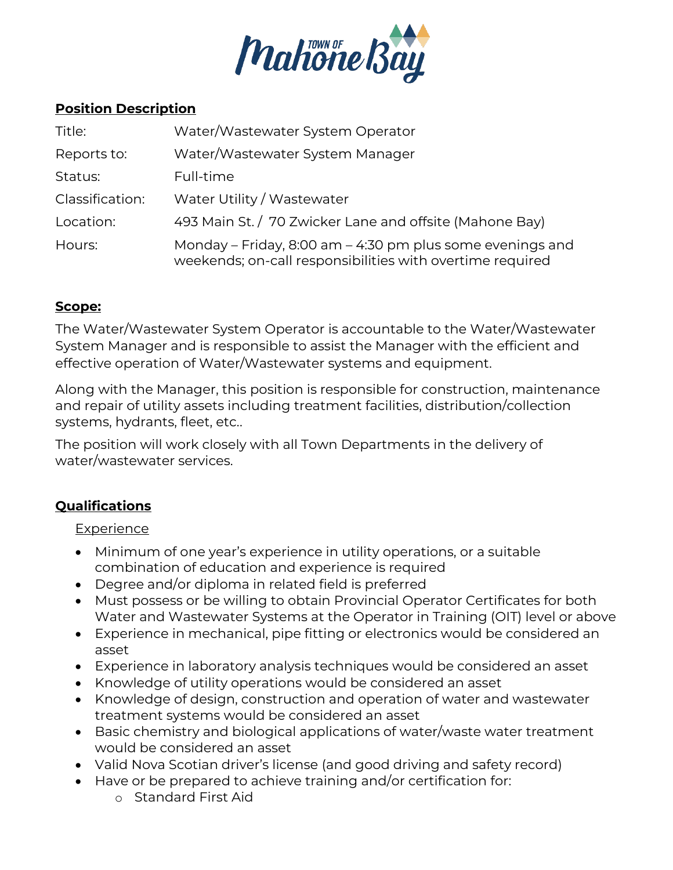

## **Position Description**

| Title:          | Water/Wastewater System Operator                                                                                       |
|-----------------|------------------------------------------------------------------------------------------------------------------------|
| Reports to:     | Water/Wastewater System Manager                                                                                        |
| Status:         | Full-time                                                                                                              |
| Classification: | Water Utility / Wastewater                                                                                             |
| Location:       | 493 Main St. / 70 Zwicker Lane and offsite (Mahone Bay)                                                                |
| Hours:          | Monday – Friday, 8:00 am – 4:30 pm plus some evenings and<br>weekends; on-call responsibilities with overtime required |

## **Scope:**

The Water/Wastewater System Operator is accountable to the Water/Wastewater System Manager and is responsible to assist the Manager with the efficient and effective operation of Water/Wastewater systems and equipment.

Along with the Manager, this position is responsible for construction, maintenance and repair of utility assets including treatment facilities, distribution/collection systems, hydrants, fleet, etc..

The position will work closely with all Town Departments in the delivery of water/wastewater services.

## **Qualifications**

**Experience** 

- Minimum of one year's experience in utility operations, or a suitable combination of education and experience is required
- Degree and/or diploma in related field is preferred
- Must possess or be willing to obtain Provincial Operator Certificates for both Water and Wastewater Systems at the Operator in Training (OIT) level or above
- Experience in mechanical, pipe fitting or electronics would be considered an asset
- Experience in laboratory analysis techniques would be considered an asset
- Knowledge of utility operations would be considered an asset
- Knowledge of design, construction and operation of water and wastewater treatment systems would be considered an asset
- Basic chemistry and biological applications of water/waste water treatment would be considered an asset
- Valid Nova Scotian driver's license (and good driving and safety record)
- Have or be prepared to achieve training and/or certification for:
	- o Standard First Aid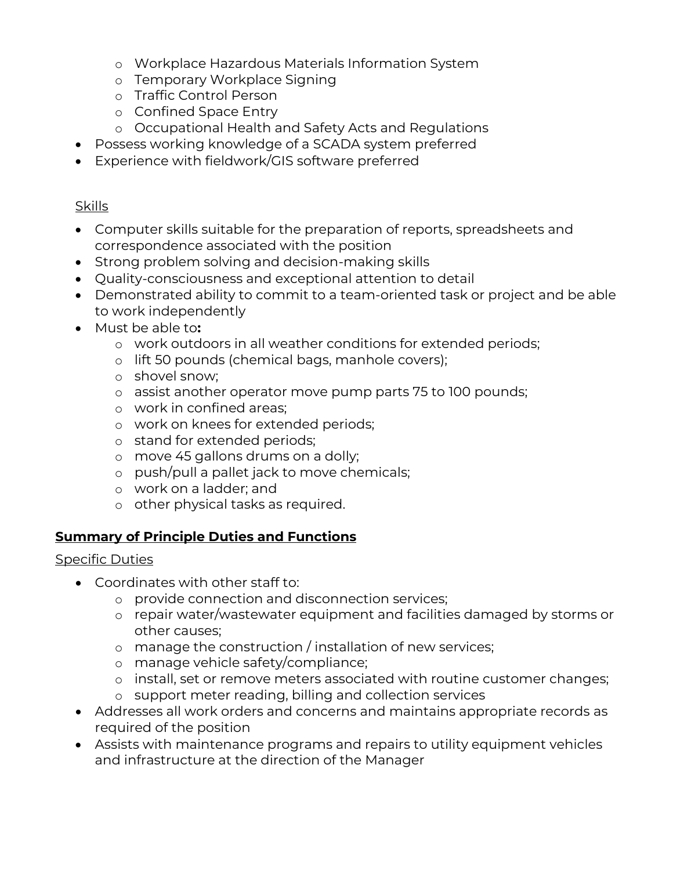- o Workplace Hazardous Materials Information System
- o Temporary Workplace Signing
- o Traffic Control Person
- o Confined Space Entry
- o Occupational Health and Safety Acts and Regulations
- Possess working knowledge of a SCADA system preferred
- Experience with fieldwork/GIS software preferred

### Skills

- Computer skills suitable for the preparation of reports, spreadsheets and correspondence associated with the position
- Strong problem solving and decision-making skills
- Quality-consciousness and exceptional attention to detail
- Demonstrated ability to commit to a team-oriented task or project and be able to work independently
- Must be able to**:**
	- o work outdoors in all weather conditions for extended periods;
	- o lift 50 pounds (chemical bags, manhole covers);
	- o shovel snow;
	- o assist another operator move pump parts 75 to 100 pounds;
	- o work in confined areas;
	- o work on knees for extended periods;
	- o stand for extended periods;
	- o move 45 gallons drums on a dolly;
	- o push/pull a pallet jack to move chemicals;
	- o work on a ladder; and
	- o other physical tasks as required.

# **Summary of Principle Duties and Functions**

## Specific Duties

- Coordinates with other staff to:
	- o provide connection and disconnection services;
	- o repair water/wastewater equipment and facilities damaged by storms or other causes;
	- o manage the construction / installation of new services;
	- o manage vehicle safety/compliance;
	- o install, set or remove meters associated with routine customer changes;
	- o support meter reading, billing and collection services
- Addresses all work orders and concerns and maintains appropriate records as required of the position
- Assists with maintenance programs and repairs to utility equipment vehicles and infrastructure at the direction of the Manager